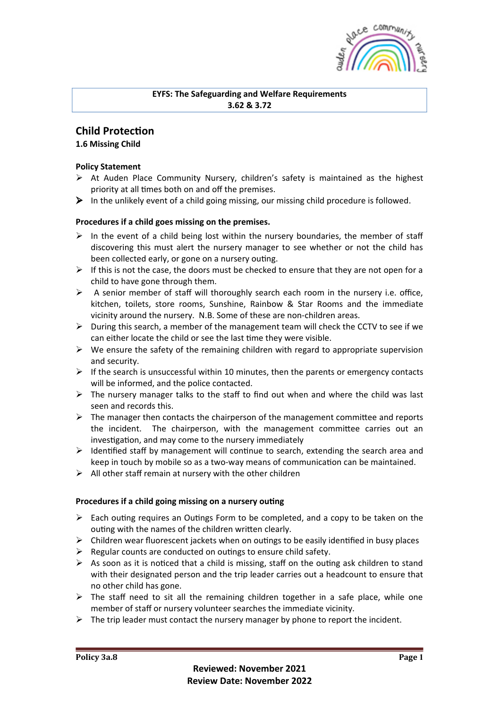

## **EYFS: The Safeguarding and Welfare Requirements 3.62 & 3.72**

# **Child Protection**

**1.6 Missing Child**

# **Policy Statement**

- $\triangleright$  At Auden Place Community Nursery, children's safety is maintained as the highest priority at all times both on and off the premises.
- $\triangleright$  In the unlikely event of a child going missing, our missing child procedure is followed.

# Procedures if a child goes missing on the premises.

- $\triangleright$  In the event of a child being lost within the nursery boundaries, the member of staff discovering this must alert the nursery manager to see whether or not the child has been collected early, or gone on a nursery outing.
- $\triangleright$  If this is not the case, the doors must be checked to ensure that they are not open for a child to have gone through them.
- $\triangleright$  A senior member of staff will thoroughly search each room in the nursery i.e. office, kitchen, toilets, store rooms, Sunshine, Rainbow & Star Rooms and the immediate vicinity around the nursery. N.B. Some of these are non-children areas.
- $\triangleright$  During this search, a member of the management team will check the CCTV to see if we can either locate the child or see the last time they were visible.
- $\triangleright$  We ensure the safety of the remaining children with regard to appropriate supervision and security.
- $\triangleright$  If the search is unsuccessful within 10 minutes, then the parents or emergency contacts will be informed, and the police contacted.
- $\triangleright$  The nursery manager talks to the staff to find out when and where the child was last seen and records this.
- $\triangleright$  The manager then contacts the chairperson of the management committee and reports the incident. The chairperson, with the management committee carries out an investigation, and may come to the nursery immediately
- $\triangleright$  Identified staff by management will continue to search, extending the search area and keep in touch by mobile so as a two-way means of communication can be maintained.
- $\triangleright$  All other staff remain at nursery with the other children

## Procedures if a child going missing on a nursery outing

- $\triangleright$  Each outing requires an Outings Form to be completed, and a copy to be taken on the outing with the names of the children written clearly.
- $\triangleright$  Children wear fluorescent jackets when on outings to be easily identified in busy places
- $\triangleright$  Regular counts are conducted on outings to ensure child safety.
- $\triangleright$  As soon as it is noticed that a child is missing, staff on the outing ask children to stand with their designated person and the trip leader carries out a headcount to ensure that no other child has gone.
- $\triangleright$  The staff need to sit all the remaining children together in a safe place, while one member of staff or nursery volunteer searches the immediate vicinity.
- $\triangleright$  The trip leader must contact the nursery manager by phone to report the incident.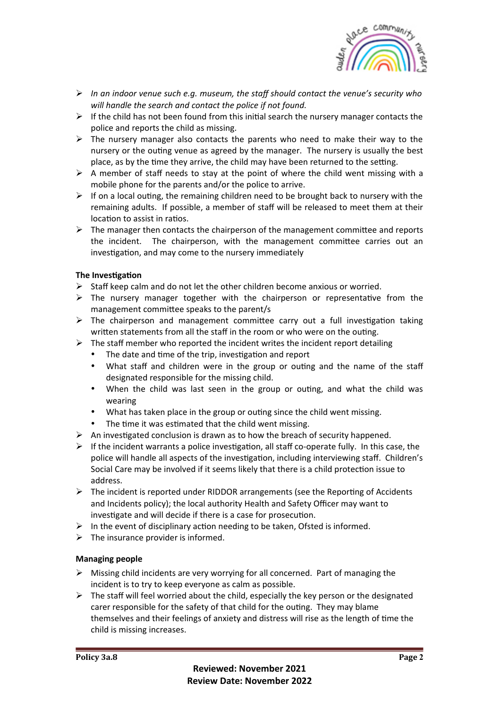

- Ø *In an indoor venue such e.g. museum, the staff should contact the venue's security who* will handle the search and contact the police if not found.
- $\triangleright$  If the child has not been found from this initial search the nursery manager contacts the police and reports the child as missing.
- $\triangleright$  The nursery manager also contacts the parents who need to make their way to the nursery or the outing venue as agreed by the manager. The nursery is usually the best place, as by the time they arrive, the child may have been returned to the setting.
- $\triangleright$  A member of staff needs to stay at the point of where the child went missing with a mobile phone for the parents and/or the police to arrive.
- $\triangleright$  If on a local outing, the remaining children need to be brought back to nursery with the remaining adults. If possible, a member of staff will be released to meet them at their location to assist in ratios.
- $\triangleright$  The manager then contacts the chairperson of the management committee and reports the incident. The chairperson, with the management committee carries out an investigation, and may come to the nursery immediately

### **The Investigation**

- $\triangleright$  Staff keep calm and do not let the other children become anxious or worried.
- $\triangleright$  The nursery manager together with the chairperson or representative from the management committee speaks to the parent/s
- $\triangleright$  The chairperson and management committee carry out a full investigation taking written statements from all the staff in the room or who were on the outing.
- $\triangleright$  The staff member who reported the incident writes the incident report detailing
	- The date and time of the trip, investigation and report
	- What staff and children were in the group or outing and the name of the staff designated responsible for the missing child.
	- When the child was last seen in the group or outing, and what the child was wearing
	- What has taken place in the group or outing since the child went missing.
	- The time it was estimated that the child went missing.
- $\triangleright$  An investigated conclusion is drawn as to how the breach of security happened.
- $\triangleright$  If the incident warrants a police investigation, all staff co-operate fully. In this case, the police will handle all aspects of the investigation, including interviewing staff. Children's Social Care may be involved if it seems likely that there is a child protection issue to address.
- $\triangleright$  The incident is reported under RIDDOR arrangements (see the Reporting of Accidents and Incidents policy); the local authority Health and Safety Officer may want to investigate and will decide if there is a case for prosecution.
- $\triangleright$  In the event of disciplinary action needing to be taken, Ofsted is informed.
- $\triangleright$  The insurance provider is informed.

#### **Managing people**

- $\triangleright$  Missing child incidents are very worrying for all concerned. Part of managing the incident is to try to keep everyone as calm as possible.
- $\triangleright$  The staff will feel worried about the child, especially the key person or the designated carer responsible for the safety of that child for the outing. They may blame themselves and their feelings of anxiety and distress will rise as the length of time the child is missing increases.